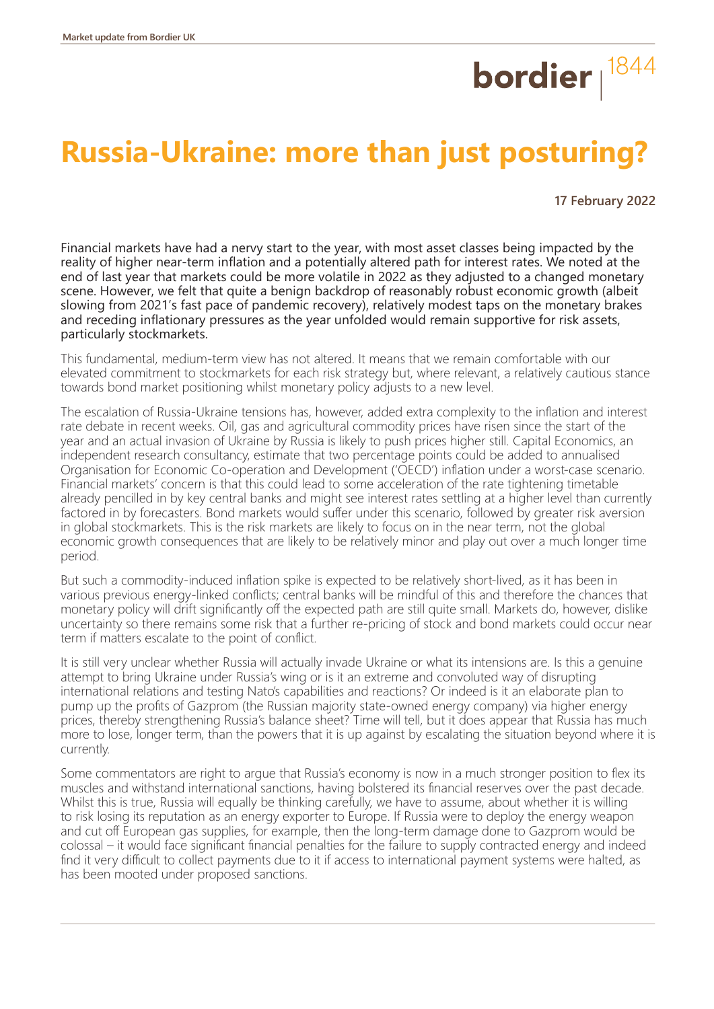## bordier  $\vert^{1844}$

## **Russia-Ukraine: more than just posturing?**

 **17 February 2022**

Financial markets have had a nervy start to the year, with most asset classes being impacted by the reality of higher near-term inflation and a potentially altered path for interest rates. We noted at the end of last year that markets could be more volatile in 2022 as they adjusted to a changed monetary scene. However, we felt that quite a benign backdrop of reasonably robust economic growth (albeit slowing from 2021's fast pace of pandemic recovery), relatively modest taps on the monetary brakes and receding inflationary pressures as the year unfolded would remain supportive for risk assets, particularly stockmarkets.

This fundamental, medium-term view has not altered. It means that we remain comfortable with our elevated commitment to stockmarkets for each risk strategy but, where relevant, a relatively cautious stance towards bond market positioning whilst monetary policy adjusts to a new level.

The escalation of Russia-Ukraine tensions has, however, added extra complexity to the inflation and interest rate debate in recent weeks. Oil, gas and agricultural commodity prices have risen since the start of the year and an actual invasion of Ukraine by Russia is likely to push prices higher still. Capital Economics, an independent research consultancy, estimate that two percentage points could be added to annualised Organisation for Economic Co-operation and Development ('OECD') inflation under a worst-case scenario. Financial markets' concern is that this could lead to some acceleration of the rate tightening timetable already pencilled in by key central banks and might see interest rates settling at a higher level than currently factored in by forecasters. Bond markets would suffer under this scenario, followed by greater risk aversion in global stockmarkets. This is the risk markets are likely to focus on in the near term, not the global economic growth consequences that are likely to be relatively minor and play out over a much longer time period.

But such a commodity-induced inflation spike is expected to be relatively short-lived, as it has been in various previous energy-linked conflicts; central banks will be mindful of this and therefore the chances that monetary policy will drift significantly off the expected path are still quite small. Markets do, however, dislike uncertainty so there remains some risk that a further re-pricing of stock and bond markets could occur near term if matters escalate to the point of conflict.

It is still very unclear whether Russia will actually invade Ukraine or what its intensions are. Is this a genuine attempt to bring Ukraine under Russia's wing or is it an extreme and convoluted way of disrupting international relations and testing Nato's capabilities and reactions? Or indeed is it an elaborate plan to pump up the profits of Gazprom (the Russian majority state-owned energy company) via higher energy prices, thereby strengthening Russia's balance sheet? Time will tell, but it does appear that Russia has much more to lose, longer term, than the powers that it is up against by escalating the situation beyond where it is currently.

Some commentators are right to argue that Russia's economy is now in a much stronger position to flex its muscles and withstand international sanctions, having bolstered its financial reserves over the past decade. Whilst this is true, Russia will equally be thinking carefully, we have to assume, about whether it is willing to risk losing its reputation as an energy exporter to Europe. If Russia were to deploy the energy weapon and cut off European gas supplies, for example, then the long-term damage done to Gazprom would be colossal – it would face significant financial penalties for the failure to supply contracted energy and indeed find it very difficult to collect payments due to it if access to international payment systems were halted, as has been mooted under proposed sanctions.